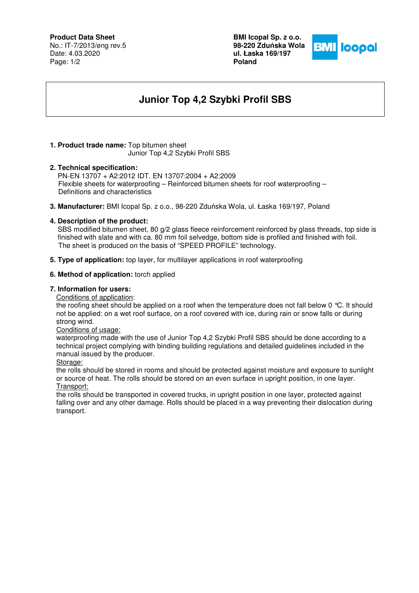## **Product Data Sheet**

No.: IT-7/2013/eng rev.5 Date: 4.03.2020 Page: 1/2

**BMI Icopal Sp. z o.o. 98-220 Zdu**ń**ska Wola ul. Łaska 169/197 Poland** 



# **Junior Top 4,2 Szybki Profil SBS**

# **1. Product trade name:** Top bitumen sheet

Junior Top 4,2 Szybki Profil SBS

# **2. Technical specification:**

PN-EN 13707 + A2:2012 IDT. EN 13707:2004 + A2:2009 Flexible sheets for waterproofing – Reinforced bitumen sheets for roof waterproofing – Definitions and characteristics

**3. Manufacturer:** BMI Icopal Sp. z o.o., 98-220 Zduńska Wola, ul. Łaska 169/197, Poland

#### **4. Description of the product:**

SBS modified bitumen sheet, 80 g/2 glass fleece reinforcement reinforced by glass threads, top side is finished with slate and with ca. 80 mm foil selvedge, bottom side is profiled and finished with foil. The sheet is produced on the basis of "SPEED PROFILE" technology.

**5. Type of application:** top layer, for multilayer applications in roof waterproofing

# **6. Method of application:** torch applied

## **7. Information for users:**

Conditions of application:

the roofing sheet should be applied on a roof when the temperature does not fall below 0 °C. It should not be applied: on a wet roof surface, on a roof covered with ice, during rain or snow falls or during strong wind.

Conditions of usage:

waterproofing made with the use of Junior Top 4,2 Szybki Profil SBS should be done according to a technical project complying with binding building regulations and detailed guidelines included in the manual issued by the producer.

#### Storage:

the rolls should be stored in rooms and should be protected against moisture and exposure to sunlight or source of heat. The rolls should be stored on an even surface in upright position, in one layer. Transport:

the rolls should be transported in covered trucks, in upright position in one layer, protected against falling over and any other damage. Rolls should be placed in a way preventing their dislocation during transport.